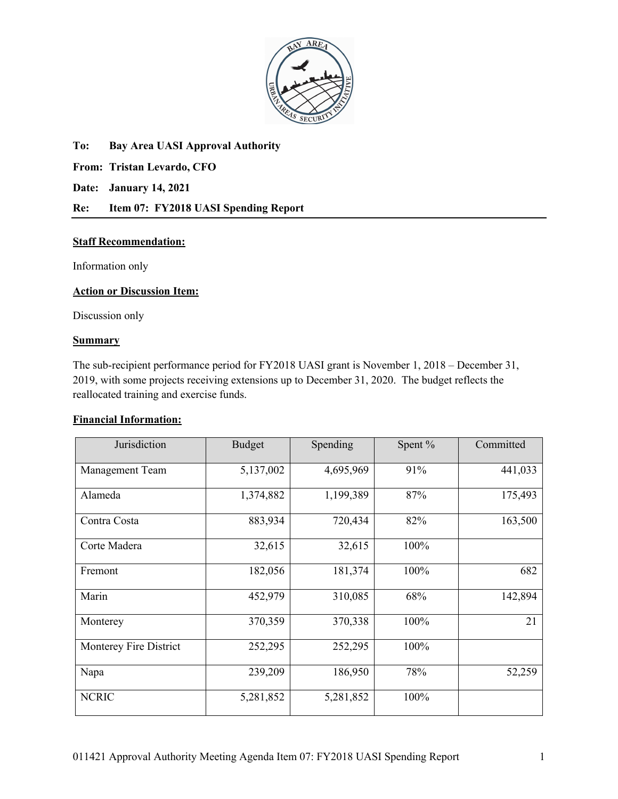

### **To: Bay Area UASI Approval Authority**

**From: Tristan Levardo, CFO**

**Date: January 14, 2021**

# **Re: Item 07: FY2018 UASI Spending Report**

### **Staff Recommendation:**

Information only

# **Action or Discussion Item:**

Discussion only

### **Summary**

The sub-recipient performance period for FY2018 UASI grant is November 1, 2018 – December 31, 2019, with some projects receiving extensions up to December 31, 2020. The budget reflects the reallocated training and exercise funds.

# **Financial Information:**

| Jurisdiction           | <b>Budget</b> | Spending  | Spent % | Committed |
|------------------------|---------------|-----------|---------|-----------|
| <b>Management Team</b> | 5,137,002     | 4,695,969 | 91%     | 441,033   |
| Alameda                | 1,374,882     | 1,199,389 | 87%     | 175,493   |
| Contra Costa           | 883,934       | 720,434   | 82%     | 163,500   |
| Corte Madera           | 32,615        | 32,615    | 100%    |           |
| Fremont                | 182,056       | 181,374   | 100%    | 682       |
| Marin                  | 452,979       | 310,085   | 68%     | 142,894   |
| Monterey               | 370,359       | 370,338   | 100%    | 21        |
| Monterey Fire District | 252,295       | 252,295   | 100%    |           |
| Napa                   | 239,209       | 186,950   | 78%     | 52,259    |
| <b>NCRIC</b>           | 5,281,852     | 5,281,852 | 100%    |           |